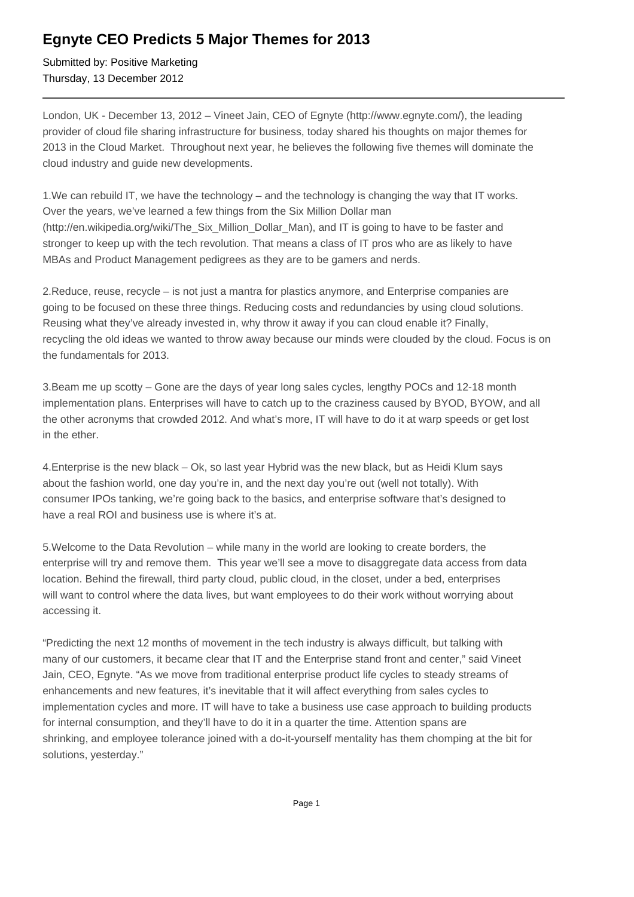## **Egnyte CEO Predicts 5 Major Themes for 2013**

Submitted by: Positive Marketing Thursday, 13 December 2012

London, UK - December 13, 2012 – Vineet Jain, CEO of Egnyte (http://www.egnyte.com/), the leading provider of cloud file sharing infrastructure for business, today shared his thoughts on major themes for 2013 in the Cloud Market. Throughout next year, he believes the following five themes will dominate the cloud industry and guide new developments.

1. We can rebuild IT, we have the technology – and the technology is changing the way that IT works. Over the years, we've learned a few things from the Six Million Dollar man (http://en.wikipedia.org/wiki/The\_Six\_Million\_Dollar\_Man), and IT is going to have to be faster and stronger to keep up with the tech revolution. That means a class of IT pros who are as likely to have MBAs and Product Management pedigrees as they are to be gamers and nerds.

2. Reduce, reuse, recycle – is not just a mantra for plastics anymore, and Enterprise companies are going to be focused on these three things. Reducing costs and redundancies by using cloud solutions. Reusing what they've already invested in, why throw it away if you can cloud enable it? Finally, recycling the old ideas we wanted to throw away because our minds were clouded by the cloud. Focus is on the fundamentals for 2013.

3. Beam me up scotty – Gone are the days of year long sales cycles, lengthy POCs and 12-18 month implementation plans. Enterprises will have to catch up to the craziness caused by BYOD, BYOW, and all the other acronyms that crowded 2012. And what's more, IT will have to do it at warp speeds or get lost in the ether.

4. Enterprise is the new black – Ok, so last year Hybrid was the new black, but as Heidi Klum says about the fashion world, one day you're in, and the next day you're out (well not totally). With consumer IPOs tanking, we're going back to the basics, and enterprise software that's designed to have a real ROI and business use is where it's at.

5. Welcome to the Data Revolution – while many in the world are looking to create borders, the enterprise will try and remove them. This year we'll see a move to disaggregate data access from data location. Behind the firewall, third party cloud, public cloud, in the closet, under a bed, enterprises will want to control where the data lives, but want employees to do their work without worrying about accessing it.

"Predicting the next 12 months of movement in the tech industry is always difficult, but talking with many of our customers, it became clear that IT and the Enterprise stand front and center," said Vineet Jain, CEO, Egnyte. "As we move from traditional enterprise product life cycles to steady streams of enhancements and new features, it's inevitable that it will affect everything from sales cycles to implementation cycles and more. IT will have to take a business use case approach to building products for internal consumption, and they'll have to do it in a quarter the time. Attention spans are shrinking, and employee tolerance joined with a do-it-yourself mentality has them chomping at the bit for solutions, yesterday."